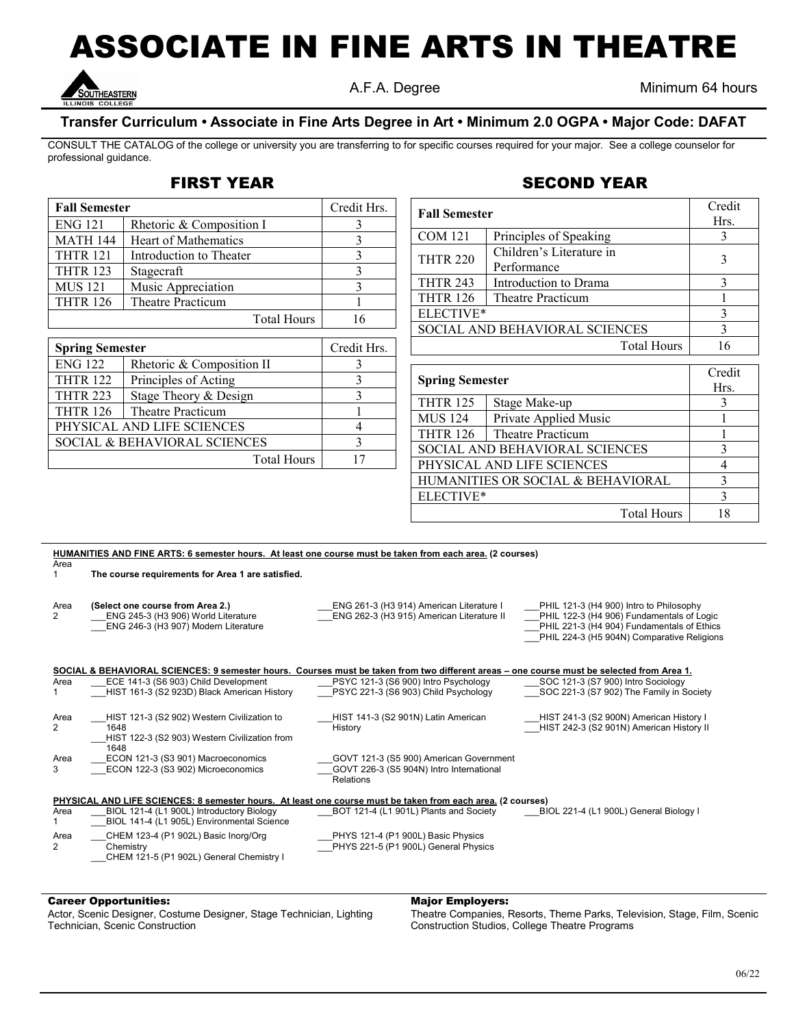# ASSOCIATE IN FINE ARTS IN THEATRE



A.F.A. Degree Minimum 64 hours

### **Transfer Curriculum • Associate in Fine Arts Degree in Art • Minimum 2.0 OGPA • Major Code: DAFAT**

CONSULT THE CATALOG of the college or university you are transferring to for specific courses required for your major. See a college counselor for professional guidance.

## FIRST YEAR

| <b>Fall Semester</b>                    |                           | Credit Hrs. |
|-----------------------------------------|---------------------------|-------------|
| <b>ENG 121</b>                          | Rhetoric & Composition I  | 3           |
| <b>MATH 144</b>                         | Heart of Mathematics      | 3           |
| <b>THTR 121</b>                         | Introduction to Theater   | 3           |
| <b>THTR 123</b>                         | Stagecraft                | 3           |
| <b>MUS 121</b>                          | Music Appreciation        | 3           |
| <b>THTR 126</b>                         | <b>Theatre Practicum</b>  |             |
|                                         | <b>Total Hours</b>        | 16          |
|                                         |                           |             |
| <b>Spring Semester</b>                  |                           | Credit Hrs. |
| <b>ENG 122</b>                          | Rhetoric & Composition II | 3           |
| <b>THTR 122</b>                         | Principles of Acting      |             |
| <b>THTR 223</b>                         | Stage Theory & Design     |             |
| <b>THTR 126</b>                         | Theatre Practicum         |             |
| PHYSICAL AND LIFE SCIENCES              | 4                         |             |
| <b>SOCIAL &amp; BEHAVIORAL SCIENCES</b> | 3                         |             |

Total Hours 17

| <b>Fall Semester</b>           |                          | Credit |
|--------------------------------|--------------------------|--------|
|                                |                          | Hrs.   |
| <b>COM 121</b>                 | Principles of Speaking   |        |
| <b>THTR 220</b>                | Children's Literature in |        |
|                                | Performance              |        |
| <b>THTR 243</b>                | Introduction to Drama    |        |
| <b>THTR 126</b>                | Theatre Practicum        |        |
| ELECTIVE*                      |                          |        |
| SOCIAL AND BEHAVIORAL SCIENCES |                          |        |
|                                | <b>Total Hours</b>       |        |

| <b>Spring Semester</b>            |                       | Credit |
|-----------------------------------|-----------------------|--------|
|                                   |                       | Hrs.   |
| <b>THTR 125</b>                   | Stage Make-up         | 3      |
| <b>MUS 124</b>                    | Private Applied Music |        |
| <b>THTR 126</b>                   | Theatre Practicum     |        |
| SOCIAL AND BEHAVIORAL SCIENCES    |                       | 3      |
| PHYSICAL AND LIFE SCIENCES        |                       |        |
| HUMANITIES OR SOCIAL & BEHAVIORAL |                       |        |
| ELECTIVE*                         |                       | 3      |
|                                   | <b>Total Hours</b>    | 18     |

| HUMANITIES AND FINE ARTS: 6 semester hours. At least one course must be taken from each area. (2 courses) |                                                                                                                                           |                                                                                       |                                                                                                                                                                                  |  |  |  |  |  |
|-----------------------------------------------------------------------------------------------------------|-------------------------------------------------------------------------------------------------------------------------------------------|---------------------------------------------------------------------------------------|----------------------------------------------------------------------------------------------------------------------------------------------------------------------------------|--|--|--|--|--|
| Area                                                                                                      |                                                                                                                                           |                                                                                       |                                                                                                                                                                                  |  |  |  |  |  |
|                                                                                                           | The course requirements for Area 1 are satisfied.                                                                                         |                                                                                       |                                                                                                                                                                                  |  |  |  |  |  |
| Area<br>2                                                                                                 | (Select one course from Area 2.)<br>ENG 245-3 (H3 906) World Literature<br>ENG 246-3 (H3 907) Modern Literature                           | ENG 261-3 (H3 914) American Literature I<br>ENG 262-3 (H3 915) American Literature II | PHIL 121-3 (H4 900) Intro to Philosophy<br>PHIL 122-3 (H4 906) Fundamentals of Logic<br>PHIL 221-3 (H4 904) Fundamentals of Ethics<br>PHIL 224-3 (H5 904N) Comparative Religions |  |  |  |  |  |
|                                                                                                           | SOCIAL & BEHAVIORAL SCIENCES: 9 semester hours. Courses must be taken from two different areas – one course must be selected from Area 1. |                                                                                       |                                                                                                                                                                                  |  |  |  |  |  |
| Area                                                                                                      | ECE 141-3 (S6 903) Child Development                                                                                                      | PSYC 121-3 (S6 900) Intro Psychology                                                  | SOC 121-3 (S7 900) Intro Sociology                                                                                                                                               |  |  |  |  |  |
|                                                                                                           | HIST 161-3 (S2 923D) Black American History                                                                                               | PSYC 221-3 (S6 903) Child Psychology                                                  | SOC 221-3 (S7 902) The Family in Society                                                                                                                                         |  |  |  |  |  |
|                                                                                                           |                                                                                                                                           |                                                                                       |                                                                                                                                                                                  |  |  |  |  |  |
| Area                                                                                                      | HIST 121-3 (S2 902) Western Civilization to                                                                                               | HIST 141-3 (S2 901N) Latin American                                                   | HIST 241-3 (S2 900N) American History I                                                                                                                                          |  |  |  |  |  |
| 2                                                                                                         | 1648                                                                                                                                      | History                                                                               | HIST 242-3 (S2 901N) American History II                                                                                                                                         |  |  |  |  |  |
|                                                                                                           | HIST 122-3 (S2 903) Western Civilization from                                                                                             |                                                                                       |                                                                                                                                                                                  |  |  |  |  |  |
|                                                                                                           | 1648                                                                                                                                      |                                                                                       |                                                                                                                                                                                  |  |  |  |  |  |
| Area                                                                                                      | ECON 121-3 (S3 901) Macroeconomics                                                                                                        | GOVT 121-3 (S5 900) American Government                                               |                                                                                                                                                                                  |  |  |  |  |  |
| 3                                                                                                         | ECON 122-3 (S3 902) Microeconomics                                                                                                        | GOVT 226-3 (S5 904N) Intro International                                              |                                                                                                                                                                                  |  |  |  |  |  |
|                                                                                                           |                                                                                                                                           | <b>Relations</b>                                                                      |                                                                                                                                                                                  |  |  |  |  |  |
|                                                                                                           | PHYSICAL AND LIFE SCIENCES: 8 semester hours. At least one course must be taken from each area. (2 courses)                               |                                                                                       |                                                                                                                                                                                  |  |  |  |  |  |
| Area                                                                                                      | BIOL 121-4 (L1 900L) Introductory Biology                                                                                                 | BOT 121-4 (L1 901L) Plants and Society                                                | BIOL 221-4 (L1 900L) General Biology I                                                                                                                                           |  |  |  |  |  |
|                                                                                                           | BIOL 141-4 (L1 905L) Environmental Science                                                                                                |                                                                                       |                                                                                                                                                                                  |  |  |  |  |  |
| Area                                                                                                      | CHEM 123-4 (P1 902L) Basic Inorg/Org                                                                                                      | PHYS 121-4 (P1 900L) Basic Physics                                                    |                                                                                                                                                                                  |  |  |  |  |  |
| 2                                                                                                         | Chemistry                                                                                                                                 | PHYS 221-5 (P1 900L) General Physics                                                  |                                                                                                                                                                                  |  |  |  |  |  |
|                                                                                                           | CHEM 121-5 (P1 902L) General Chemistry I                                                                                                  |                                                                                       |                                                                                                                                                                                  |  |  |  |  |  |
|                                                                                                           |                                                                                                                                           |                                                                                       |                                                                                                                                                                                  |  |  |  |  |  |

#### Career Opportunities:

Actor, Scenic Designer, Costume Designer, Stage Technician, Lighting Technician, Scenic Construction

#### Major Employers:

Theatre Companies, Resorts, Theme Parks, Television, Stage, Film, Scenic Construction Studios, College Theatre Programs